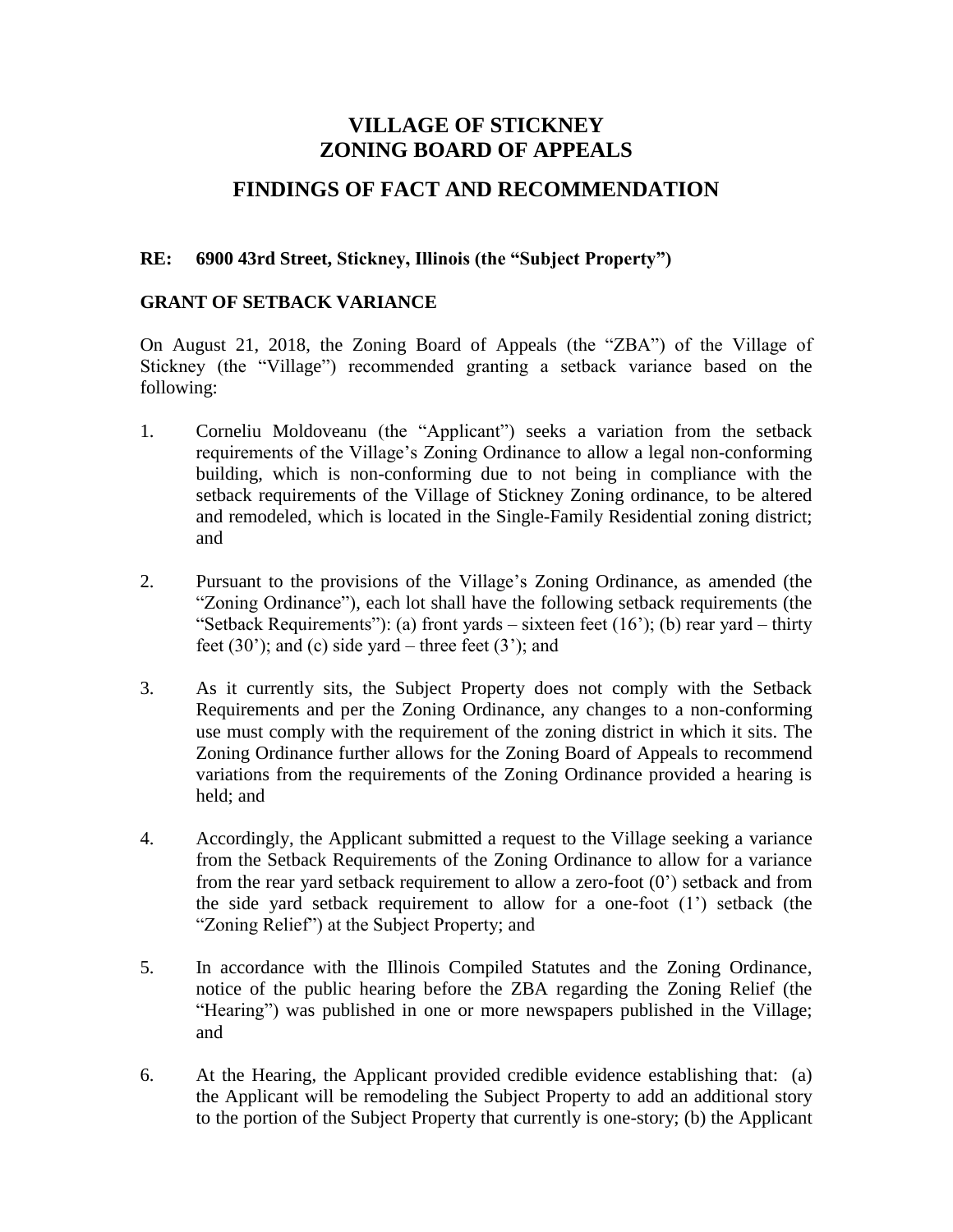# **VILLAGE OF STICKNEY ZONING BOARD OF APPEALS**

# **FINDINGS OF FACT AND RECOMMENDATION**

### **RE: 6900 43rd Street, Stickney, Illinois (the "Subject Property")**

#### **GRANT OF SETBACK VARIANCE**

On August 21, 2018, the Zoning Board of Appeals (the "ZBA") of the Village of Stickney (the "Village") recommended granting a setback variance based on the following:

- 1. Corneliu Moldoveanu (the "Applicant") seeks a variation from the setback requirements of the Village's Zoning Ordinance to allow a legal non-conforming building, which is non-conforming due to not being in compliance with the setback requirements of the Village of Stickney Zoning ordinance, to be altered and remodeled, which is located in the Single-Family Residential zoning district; and
- 2. Pursuant to the provisions of the Village's Zoning Ordinance, as amended (the "Zoning Ordinance"), each lot shall have the following setback requirements (the "Setback Requirements"): (a) front yards – sixteen feet  $(16)$ ; (b) rear yard – thirty feet  $(30')$ ; and  $(c)$  side yard – three feet  $(3')$ ; and
- 3. As it currently sits, the Subject Property does not comply with the Setback Requirements and per the Zoning Ordinance, any changes to a non-conforming use must comply with the requirement of the zoning district in which it sits. The Zoning Ordinance further allows for the Zoning Board of Appeals to recommend variations from the requirements of the Zoning Ordinance provided a hearing is held; and
- 4. Accordingly, the Applicant submitted a request to the Village seeking a variance from the Setback Requirements of the Zoning Ordinance to allow for a variance from the rear yard setback requirement to allow a zero-foot (0') setback and from the side yard setback requirement to allow for a one-foot (1') setback (the "Zoning Relief") at the Subject Property; and
- 5. In accordance with the Illinois Compiled Statutes and the Zoning Ordinance, notice of the public hearing before the ZBA regarding the Zoning Relief (the "Hearing") was published in one or more newspapers published in the Village; and
- 6. At the Hearing, the Applicant provided credible evidence establishing that: (a) the Applicant will be remodeling the Subject Property to add an additional story to the portion of the Subject Property that currently is one-story; (b) the Applicant